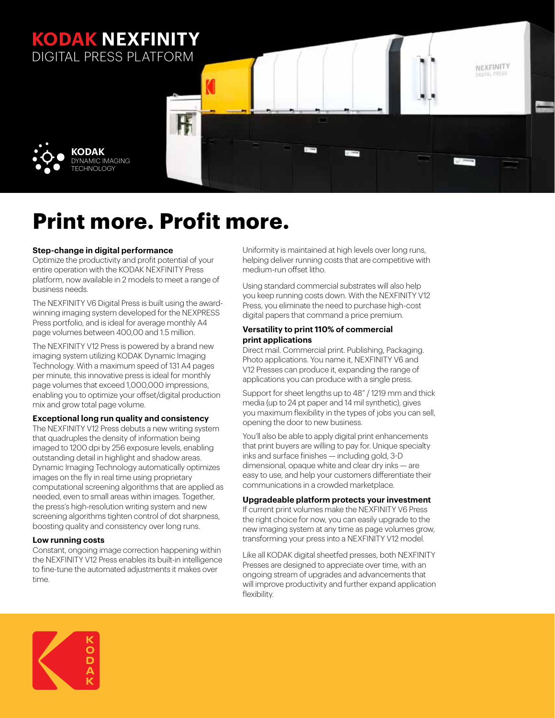### **KODAK NEXFINITY** DIGITAL PRESS PLATFORM



# **Print more. Profit more.**

#### **Step-change in digital performance**

Optimize the productivity and profit potential of your entire operation with the KODAK NEXFINITY Press platform, now available in 2 models to meet a range of business needs.

The NEXFINITY V6 Digital Press is built using the awardwinning imaging system developed for the NEXPRESS Press portfolio, and is ideal for average monthly A4 page volumes between 400,00 and 1.5 million.

The NEXFINITY V12 Press is powered by a brand new imaging system utilizing KODAK Dynamic Imaging Technology. With a maximum speed of 131 A4 pages per minute, this innovative press is ideal for monthly page volumes that exceed 1,000,000 impressions, enabling you to optimize your offset/digital production mix and grow total page volume.

**Exceptional long run quality and consistency** 

The NEXFINITY V12 Press debuts a new writing system that quadruples the density of information being imaged to 1200 dpi by 256 exposure levels, enabling outstanding detail in highlight and shadow areas. Dynamic Imaging Technology automatically optimizes images on the fly in real time using proprietary computational screening algorithms that are applied as needed, even to small areas within images. Together, the press's high-resolution writing system and new screening algorithms tighten control of dot sharpness, boosting quality and consistency over long runs.

#### **Low running costs**

Constant, ongoing image correction happening within the NEXFINITY V12 Press enables its built-in intelligence to fine-tune the automated adjustments it makes over time.

Uniformity is maintained at high levels over long runs, helping deliver running costs that are competitive with medium-run offset litho.

NEXFINITY

Using standard commercial substrates will also help you keep running costs down. With the NEXFINITY V12 Press, you eliminate the need to purchase high-cost digital papers that command a price premium.

#### **Versatility to print 110% of commercial print applications**

Direct mail. Commercial print. Publishing, Packaging. Photo applications. You name it, NEXFINITY V6 and V12 Presses can produce it, expanding the range of applications you can produce with a single press.

Support for sheet lengths up to 48" / 1219 mm and thick media (up to 24 pt paper and 14 mil synthetic), gives you maximum flexibility in the types of jobs you can sell, opening the door to new business.

You'll also be able to apply digital print enhancements that print buyers are willing to pay for. Unique specialty inks and surface finishes — including gold, 3-D dimensional, opaque white and clear dry inks — are easy to use, and help your customers differentiate their communications in a crowded marketplace.

### **Upgradeable platform protects your investment**

If current print volumes make the NEXFINITY V6 Press the right choice for now, you can easily upgrade to the new imaging system at any time as page volumes grow, transforming your press into a NEXFINITY V12 model.

Like all KODAK digital sheetfed presses, both NEXFINITY Presses are designed to appreciate over time, with an ongoing stream of upgrades and advancements that will improve productivity and further expand application flexibility.